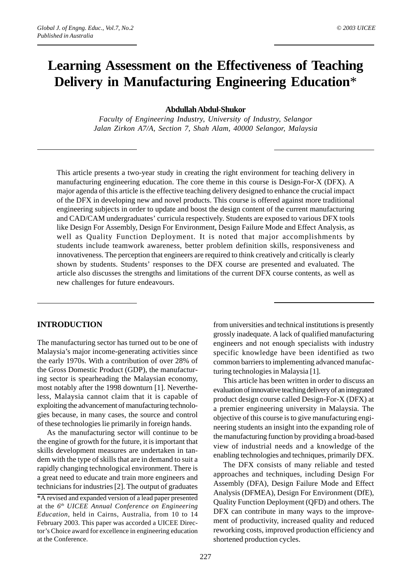# **Learning Assessment on the Effectiveness of Teaching Delivery in Manufacturing Engineering Education**\*

#### **Abdullah Abdul-Shukor**

*Faculty of Engineering Industry, University of Industry, Selangor Jalan Zirkon A7/A, Section 7, Shah Alam, 40000 Selangor, Malaysia*

This article presents a two-year study in creating the right environment for teaching delivery in manufacturing engineering education. The core theme in this course is Design-For-X (DFX). A major agenda of this article is the effective teaching delivery designed to enhance the crucial impact of the DFX in developing new and novel products. This course is offered against more traditional engineering subjects in order to update and boost the design content of the current manufacturing and CAD/CAM undergraduates' curricula respectively. Students are exposed to various DFX tools like Design For Assembly, Design For Environment, Design Failure Mode and Effect Analysis, as well as Quality Function Deployment. It is noted that major accomplishments by students include teamwork awareness, better problem definition skills, responsiveness and innovativeness. The perception that engineers are required to think creatively and critically is clearly shown by students. Students' responses to the DFX course are presented and evaluated. The article also discusses the strengths and limitations of the current DFX course contents, as well as new challenges for future endeavours.

#### **INTRODUCTION**

The manufacturing sector has turned out to be one of Malaysia's major income-generating activities since the early 1970s. With a contribution of over 28% of the Gross Domestic Product (GDP), the manufacturing sector is spearheading the Malaysian economy, most notably after the 1998 downturn [1]. Nevertheless, Malaysia cannot claim that it is capable of exploiting the advancement of manufacturing technologies because, in many cases, the source and control of these technologies lie primarily in foreign hands.

As the manufacturing sector will continue to be the engine of growth for the future, it is important that skills development measures are undertaken in tandem with the type of skills that are in demand to suit a rapidly changing technological environment. There is a great need to educate and train more engineers and technicians for industries [2]. The output of graduates

from universities and technical institutions is presently grossly inadequate. A lack of qualified manufacturing engineers and not enough specialists with industry specific knowledge have been identified as two common barriers to implementing advanced manufacturing technologies in Malaysia [1].

This article has been written in order to discuss an evaluation of innovative teaching delivery of an integrated product design course called Design-For-X (DFX) at a premier engineering university in Malaysia. The objective of this course is to give manufacturing engineering students an insight into the expanding role of the manufacturing function by providing a broad-based view of industrial needs and a knowledge of the enabling technologies and techniques, primarily DFX.

The DFX consists of many reliable and tested approaches and techniques, including Design For Assembly (DFA), Design Failure Mode and Effect Analysis (DFMEA), Design For Environment (DfE), Quality Function Deployment (QFD) and others. The DFX can contribute in many ways to the improvement of productivity, increased quality and reduced reworking costs, improved production efficiency and shortened production cycles.

<sup>\*</sup>A revised and expanded version of a lead paper presented at the *6th UICEE Annual Conference on Engineering Education*, held in Cairns, Australia, from 10 to 14 February 2003. This paper was accorded a UICEE Director's Choice award for excellence in engineering education at the Conference.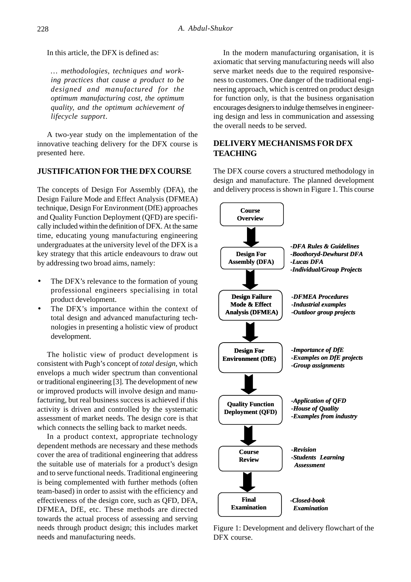In this article, the DFX is defined as:

*… methodologies, techniques and working practices that cause a product to be designed and manufactured for the optimum manufacturing cost, the optimum quality, and the optimum achievement of lifecycle support*.

A two-year study on the implementation of the innovative teaching delivery for the DFX course is presented here.

# **JUSTIFICATION FOR THE DFX COURSE**

The concepts of Design For Assembly (DFA), the Design Failure Mode and Effect Analysis (DFMEA) technique, Design For Environment (DfE) approaches and Quality Function Deployment (QFD) are specifically included within the definition of DFX. At the same time, educating young manufacturing engineering undergraduates at the university level of the DFX is a key strategy that this article endeavours to draw out by addressing two broad aims, namely:

- The DFX's relevance to the formation of young professional engineers specialising in total product development.
- The DFX's importance within the context of total design and advanced manufacturing technologies in presenting a holistic view of product development.

The holistic view of product development is consistent with Pugh's concept of *total design*, which envelops a much wider spectrum than conventional or traditional engineering [3]. The development of new or improved products will involve design and manufacturing, but real business success is achieved if this activity is driven and controlled by the systematic assessment of market needs. The design core is that which connects the selling back to market needs.

In a product context, appropriate technology dependent methods are necessary and these methods cover the area of traditional engineering that address the suitable use of materials for a product's design and to serve functional needs. Traditional engineering is being complemented with further methods (often team-based) in order to assist with the efficiency and effectiveness of the design core, such as QFD, DFA, DFMEA, DfE, etc. These methods are directed towards the actual process of assessing and serving needs through product design; this includes market needs and manufacturing needs.

In the modern manufacturing organisation, it is axiomatic that serving manufacturing needs will also serve market needs due to the required responsiveness to customers. One danger of the traditional engineering approach, which is centred on product design for function only, is that the business organisation encourages designers to indulge themselves in engineering design and less in communication and assessing the overall needs to be served.

# **DELIVERY MECHANISMS FOR DFX TEACHING**

The DFX course covers a structured methodology in design and manufacture. The planned development and delivery process is shown in Figure 1. This course



Figure 1: Development and delivery flowchart of the DFX course.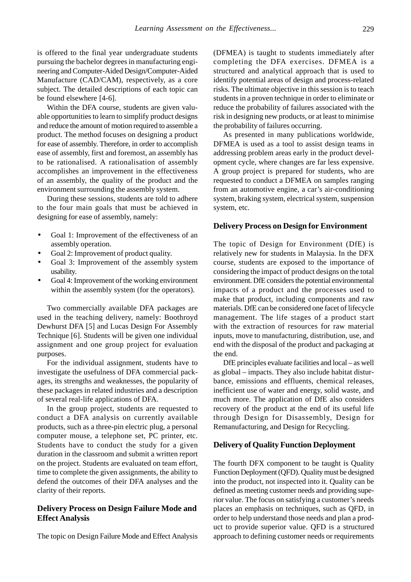is offered to the final year undergraduate students pursuing the bachelor degrees in manufacturing engineering and Computer-Aided Design/Computer-Aided Manufacture (CAD/CAM), respectively, as a core subject. The detailed descriptions of each topic can be found elsewhere [4-6].

Within the DFA course, students are given valuable opportunities to learn to simplify product designs and reduce the amount of motion required to assemble a product. The method focuses on designing a product for ease of assembly. Therefore, in order to accomplish ease of assembly, first and foremost, an assembly has to be rationalised. A rationalisation of assembly accomplishes an improvement in the effectiveness of an assembly, the quality of the product and the environment surrounding the assembly system.

During these sessions, students are told to adhere to the four main goals that must be achieved in designing for ease of assembly, namely:

- Goal 1: Improvement of the effectiveness of an assembly operation.
- Goal 2: Improvement of product quality.
- Goal 3: Improvement of the assembly system usability.
- Goal 4: Improvement of the working environment within the assembly system (for the operators).

Two commercially available DFA packages are used in the teaching delivery, namely: Boothroyd Dewhurst DFA [5] and Lucas Design For Assembly Technique [6]. Students will be given one individual assignment and one group project for evaluation purposes.

For the individual assignment, students have to investigate the usefulness of DFA commercial packages, its strengths and weaknesses, the popularity of these packages in related industries and a description of several real-life applications of DFA.

In the group project, students are requested to conduct a DFA analysis on currently available products, such as a three-pin electric plug, a personal computer mouse, a telephone set, PC printer, etc. Students have to conduct the study for a given duration in the classroom and submit a written report on the project. Students are evaluated on team effort, time to complete the given assignments, the ability to defend the outcomes of their DFA analyses and the clarity of their reports.

## **Delivery Process on Design Failure Mode and Effect Analysis**

The topic on Design Failure Mode and Effect Analysis

(DFMEA) is taught to students immediately after completing the DFA exercises. DFMEA is a structured and analytical approach that is used to identify potential areas of design and process-related risks. The ultimate objective in this session is to teach students in a proven technique in order to eliminate or reduce the probability of failures associated with the risk in designing new products, or at least to minimise the probability of failures occurring.

As presented in many publications worldwide, DFMEA is used as a tool to assist design teams in addressing problem areas early in the product development cycle, where changes are far less expensive. A group project is prepared for students, who are requested to conduct a DFMEA on samples ranging from an automotive engine, a car's air-conditioning system, braking system, electrical system, suspension system, etc.

#### **Delivery Process on Design for Environment**

The topic of Design for Environment (DfE) is relatively new for students in Malaysia. In the DFX course, students are exposed to the importance of considering the impact of product designs on the total environment. DfE considers the potential environmental impacts of a product and the processes used to make that product, including components and raw materials. DfE can be considered one facet of lifecycle management. The life stages of a product start with the extraction of resources for raw material inputs, move to manufacturing, distribution, use, and end with the disposal of the product and packaging at the end.

DfE principles evaluate facilities and local – as well as global – impacts. They also include habitat disturbance, emissions and effluents, chemical releases, inefficient use of water and energy, solid waste, and much more. The application of DfE also considers recovery of the product at the end of its useful life through Design for Disassembly, Design for Remanufacturing, and Design for Recycling.

#### **Delivery of Quality Function Deployment**

The fourth DFX component to be taught is Quality Function Deployment (QFD). Quality must be designed into the product, not inspected into it. Quality can be defined as meeting customer needs and providing superior value. The focus on satisfying a customer's needs places an emphasis on techniques, such as QFD, in order to help understand those needs and plan a product to provide superior value. QFD is a structured approach to defining customer needs or requirements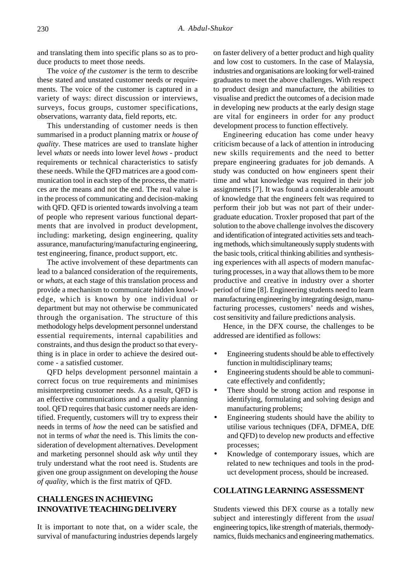and translating them into specific plans so as to produce products to meet those needs.

The *voice of the customer* is the term to describe these stated and unstated customer needs or requirements. The voice of the customer is captured in a variety of ways: direct discussion or interviews, surveys, focus groups, customer specifications, observations, warranty data, field reports, etc.

This understanding of customer needs is then summarised in a product planning matrix or *house of quality*. These matrices are used to translate higher level *whats* or needs into lower level *hows* - product requirements or technical characteristics to satisfy these needs. While the QFD matrices are a good communication tool in each step of the process, the matrices are the means and not the end. The real value is in the process of communicating and decision-making with QFD. QFD is oriented towards involving a team of people who represent various functional departments that are involved in product development, including: marketing, design engineering, quality assurance, manufacturing/manufacturing engineering, test engineering, finance, product support, etc.

The active involvement of these departments can lead to a balanced consideration of the requirements, or *whats*, at each stage of this translation process and provide a mechanism to communicate hidden knowledge, which is known by one individual or department but may not otherwise be communicated through the organisation. The structure of this methodology helps development personnel understand essential requirements, internal capabilities and constraints, and thus design the product so that everything is in place in order to achieve the desired outcome - a satisfied customer.

QFD helps development personnel maintain a correct focus on true requirements and minimises misinterpreting customer needs. As a result, QFD is an effective communications and a quality planning tool. QFD requires that basic customer needs are identified. Frequently, customers will try to express their needs in terms of *how* the need can be satisfied and not in terms of *what* the need is. This limits the consideration of development alternatives. Development and marketing personnel should ask *why* until they truly understand what the root need is. Students are given one group assignment on developing the *house of quality*, which is the first matrix of QFD.

# **CHALLENGES IN ACHIEVING INNOVATIVE TEACHING DELIVERY**

It is important to note that, on a wider scale, the survival of manufacturing industries depends largely on faster delivery of a better product and high quality and low cost to customers. In the case of Malaysia, industries and organisations are looking for well-trained graduates to meet the above challenges. With respect to product design and manufacture, the abilities to visualise and predict the outcomes of a decision made in developing new products at the early design stage are vital for engineers in order for any product development process to function effectively.

Engineering education has come under heavy criticism because of a lack of attention in introducing new skills requirements and the need to better prepare engineering graduates for job demands. A study was conducted on how engineers spent their time and what knowledge was required in their job assignments [7]. It was found a considerable amount of knowledge that the engineers felt was required to perform their job but was not part of their undergraduate education. Troxler proposed that part of the solution to the above challenge involves the discovery and identification of integrated activities sets and teaching methods, which simultaneously supply students with the basic tools, critical thinking abilities and synthesising experiences with all aspects of modern manufacturing processes, in a way that allows them to be more productive and creative in industry over a shorter period of time [8]. Engineering students need to learn manufacturing engineering by integrating design, manufacturing processes, customers' needs and wishes, cost sensitivity and failure predictions analysis.

Hence, in the DFX course, the challenges to be addressed are identified as follows:

- Engineering students should be able to effectively function in multidisciplinary teams;
- Engineering students should be able to communicate effectively and confidently;
- There should be strong action and response in identifying, formulating and solving design and manufacturing problems;
- Engineering students should have the ability to utilise various techniques (DFA, DFMEA, DfE and QFD) to develop new products and effective processes;
- Knowledge of contemporary issues, which are related to new techniques and tools in the product development process, should be increased.

#### **COLLATING LEARNING ASSESSMENT**

Students viewed this DFX course as a totally new subject and interestingly different from the *usual* engineering topics, like strength of materials, thermodynamics, fluids mechanics and engineering mathematics.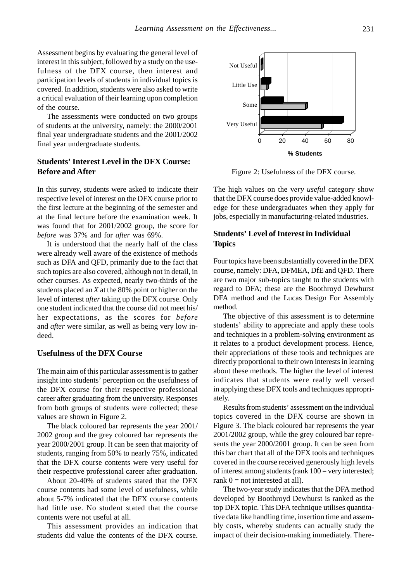Assessment begins by evaluating the general level of interest in this subject, followed by a study on the usefulness of the DFX course, then interest and participation levels of students in individual topics is covered. In addition, students were also asked to write a critical evaluation of their learning upon completion of the course.

The assessments were conducted on two groups of students at the university, namely: the 2000/2001 final year undergraduate students and the 2001/2002 final year undergraduate students.

# **Students' Interest Level in the DFX Course: Before and After**

In this survey, students were asked to indicate their respective level of interest on the DFX course prior to the first lecture at the beginning of the semester and at the final lecture before the examination week. It was found that for 2001/2002 group, the score for *before* was 37% and for *after* was 69%.

It is understood that the nearly half of the class were already well aware of the existence of methods such as DFA and QFD, primarily due to the fact that such topics are also covered, although not in detail, in other courses. As expected, nearly two-thirds of the students placed an *X* at the 80% point or higher on the level of interest *after* taking up the DFX course. Only one student indicated that the course did not meet his/ her expectations, as the scores for *before* and *after* were similar, as well as being very low indeed.

#### **Usefulness of the DFX Course**

The main aim of this particular assessment is to gather insight into students' perception on the usefulness of the DFX course for their respective professional career after graduating from the university. Responses from both groups of students were collected; these values are shown in Figure 2.

The black coloured bar represents the year 2001/ 2002 group and the grey coloured bar represents the year 2000/2001 group. It can be seen that majority of students, ranging from 50% to nearly 75%, indicated that the DFX course contents were very useful for their respective professional career after graduation.

About 20-40% of students stated that the DFX course contents had some level of usefulness, while about 5-7% indicated that the DFX course contents had little use. No student stated that the course contents were not useful at all.

This assessment provides an indication that students did value the contents of the DFX course.



Figure 2: Usefulness of the DFX course.

The high values on the v*ery useful* category show that the DFX course does provide value-added knowledge for these undergraduates when they apply for jobs, especially in manufacturing-related industries.

# **Students' Level of Interest in Individual Topics**

Four topics have been substantially covered in the DFX course, namely: DFA, DFMEA, DfE and QFD. There are two major sub-topics taught to the students with regard to DFA; these are the Boothroyd Dewhurst DFA method and the Lucas Design For Assembly method.

The objective of this assessment is to determine students' ability to appreciate and apply these tools and techniques in a problem-solving environment as it relates to a product development process. Hence, their appreciations of these tools and techniques are directly proportional to their own interests in learning about these methods. The higher the level of interest indicates that students were really well versed in applying these DFX tools and techniques appropriately.

Results from students' assessment on the individual topics covered in the DFX course are shown in Figure 3. The black coloured bar represents the year 2001/2002 group, while the grey coloured bar represents the year 2000/2001 group. It can be seen from this bar chart that all of the DFX tools and techniques covered in the course received generously high levels of interest among students (rank  $100 =$  very interested; rank  $0 =$  not interested at all).

The two-year study indicates that the DFA method developed by Boothroyd Dewhurst is ranked as the top DFX topic. This DFA technique utilises quantitative data like handling time, insertion time and assembly costs, whereby students can actually study the impact of their decision-making immediately. There-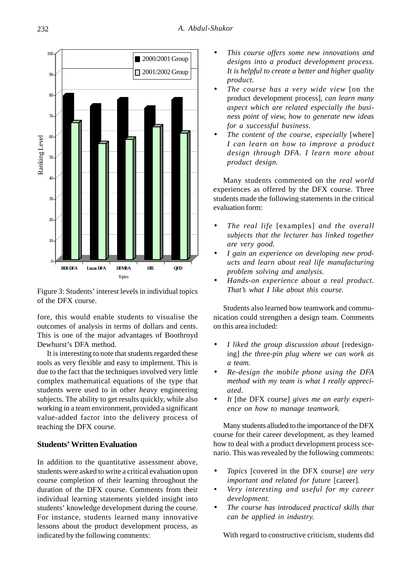

Figure 3: Students' interest levels in individual topics of the DFX course.

fore, this would enable students to visualise the outcomes of analysis in terms of dollars and cents. This is one of the major advantages of Boothroyd Dewhurst's DFA method.

It is interesting to note that students regarded these tools as very flexible and easy to implement. This is due to the fact that the techniques involved very little complex mathematical equations of the type that students were used to in other *heavy* engineering subjects. The ability to get results quickly, while also working in a team environment, provided a significant value-added factor into the delivery process of teaching the DFX course.

#### **Students' Written Evaluation**

In addition to the quantitative assessment above, students were asked to write a critical evaluation upon course completion of their learning throughout the duration of the DFX course. Comments from their individual learning statements yielded insight into students' knowledge development during the course. For instance, students learned many innovative lessons about the product development process, as indicated by the following comments:

- *This course offers some new innovations and designs into a product development process. It is helpful to create a better and higher quality product.*
- *The course has a very wide view* [on the product development process]*, can learn many aspect which are related especially the business point of view, how to generate new ideas for a successful business.*
- *The content of the course, especially* [where] *I can learn on how to improve a product design through DFA. I learn more about product design.*

Many students commented on the *real world* experiences as offered by the DFX course. Three students made the following statements in the critical evaluation form:

- *The real life* [examples] *and the overall subjects that the lecturer has linked together are very good.*
- *I gain an experience on developing new products and learn about real life manufacturing problem solving and analysis.*
- *Hands-on experience about a real product. That's what I like about this course.*

Students also learned how teamwork and communication could strengthen a design team. Comments on this area included:

- *I liked the group discussion about* [redesigning] *the three-pin plug where we can work as a team.*
- *Re-design the mobile phone using the DFA method with my team is what I really appreciated.*
- *It* [the DFX course] *gives me an early experience on how to manage teamwork.*

Many students alluded to the importance of the DFX course for their career development, as they learned how to deal with a product development process scenario. This was revealed by the following comments:

- *Topics* [covered in the DFX course] *are very important and related for future* [career]*.*
- *Very interesting and useful for my career development.*
- *The course has introduced practical skills that can be applied in industry.*

With regard to constructive criticism, students did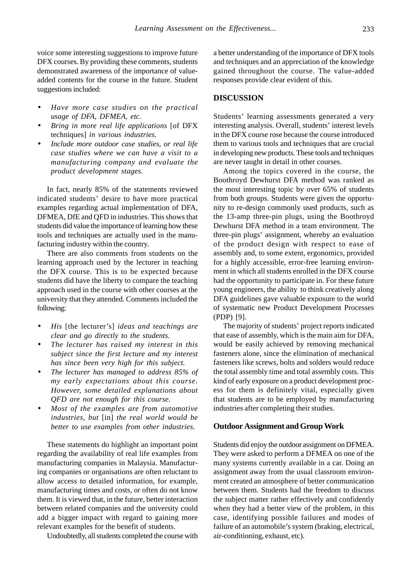voice some interesting suggestions to improve future DFX courses. By providing these comments, students demonstrated awareness of the importance of valueadded contents for the course in the future. Student suggestions included:

- *Have more case studies on the practical usage of DFA, DFMEA, etc.*
- *Bring in more real life applications* [of DFX techniques] *in various industries.*
- *Include more outdoor case studies, or real life case studies where we can have a visit to a manufacturing company and evaluate the product development stages.*

In fact, nearly 85% of the statements reviewed indicated students' desire to have more practical examples regarding actual implementation of DFA, DFMEA, DfE and QFD in industries. This shows that students did value the importance of learning how these tools and techniques are actually used in the manufacturing industry within the country.

There are also comments from students on the learning approach used by the lecturer in teaching the DFX course. This is to be expected because students did have the liberty to compare the teaching approach used in the course with other courses at the university that they attended. Comments included the following:

- *His* [the lecturer's] *ideas and teachings are clear and go directly to the students.*
- *The lecturer has raised my interest in this subject since the first lecture and my interest has since been very high for this subject.*
- *The lecturer has managed to address 85% of my early expectations about this course. However, some detailed explanations about QFD are not enough for this course.*
- *Most of the examples are from automotive industries, but* [in] *the real world would be better to use examples from other industries.*

These statements do highlight an important point regarding the availability of real life examples from manufacturing companies in Malaysia. Manufacturing companies or organisations are often reluctant to allow access to detailed information, for example, manufacturing times and costs, or often do not know them. It is viewed that, in the future, better interaction between related companies and the university could add a bigger impact with regard to gaining more relevant examples for the benefit of students.

Undoubtedly, all students completed the course with

a better understanding of the importance of DFX tools and techniques and an appreciation of the knowledge gained throughout the course. The value-added responses provide clear evident of this.

### **DISCUSSION**

Students' learning assessments generated a very interesting analysis. Overall, students' interest levels in the DFX course rose because the course introduced them to various tools and techniques that are crucial in developing new products. These tools and techniques are never taught in detail in other courses.

Among the topics covered in the course, the Boothroyd Dewhurst DFA method was ranked as the most interesting topic by over 65% of students from both groups. Students were given the opportunity to re-design commonly used products, such as the 13-amp three-pin plugs, using the Boothroyd Dewhurst DFA method in a team environment. The three-pin plugs' assignment, whereby an evaluation of the product design with respect to ease of assembly and, to some extent, ergonomics, provided for a highly accessible, error-free learning environment in which all students enrolled in the DFX course had the opportunity to participate in. For these future young engineers, the ability to think creatively along DFA guidelines gave valuable exposure to the world of systematic new Product Development Processes (PDP) [9].

The majority of students' project reports indicated that ease of assembly, which is the main aim for DFA, would be easily achieved by removing mechanical fasteners alone, since the elimination of mechanical fasteners like screws, bolts and solders would reduce the total assembly time and total assembly costs. This kind of early exposure on a product development process for them is definitely vital, especially given that students are to be employed by manufacturing industries after completing their studies.

#### **Outdoor Assignment and Group Work**

Students did enjoy the outdoor assignment on DFMEA. They were asked to perform a DFMEA on one of the many systems currently available in a car. Doing an assignment away from the usual classroom environment created an atmosphere of better communication between them. Students had the freedom to discuss the subject matter rather effectively and confidently when they had a better view of the problem, in this case, identifying possible failures and modes of failure of an automobile's system (braking, electrical, air-conditioning, exhaust, etc).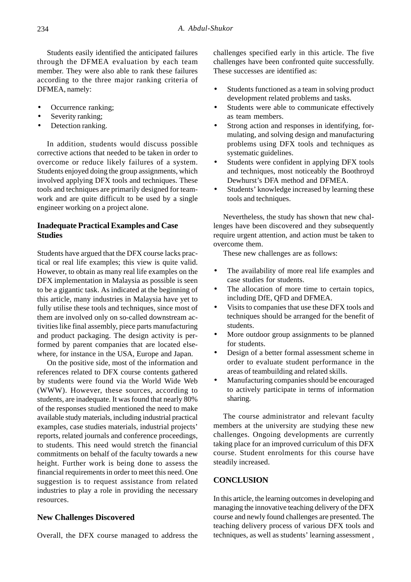Students easily identified the anticipated failures through the DFMEA evaluation by each team member. They were also able to rank these failures according to the three major ranking criteria of DFMEA, namely:

- Occurrence ranking;
- Severity ranking;
- Detection ranking.

In addition, students would discuss possible corrective actions that needed to be taken in order to overcome or reduce likely failures of a system. Students enjoyed doing the group assignments, which involved applying DFX tools and techniques. These tools and techniques are primarily designed for teamwork and are quite difficult to be used by a single engineer working on a project alone.

# **Inadequate Practical Examples and Case Studies**

Students have argued that the DFX course lacks practical or real life examples; this view is quite valid. However, to obtain as many real life examples on the DFX implementation in Malaysia as possible is seen to be a gigantic task. As indicated at the beginning of this article, many industries in Malaysia have yet to fully utilise these tools and techniques, since most of them are involved only on so-called downstream activities like final assembly, piece parts manufacturing and product packaging. The design activity is performed by parent companies that are located elsewhere, for instance in the USA, Europe and Japan.

On the positive side, most of the information and references related to DFX course contents gathered by students were found via the World Wide Web (WWW). However, these sources, according to students, are inadequate. It was found that nearly 80% of the responses studied mentioned the need to make available study materials, including industrial practical examples, case studies materials, industrial projects' reports, related journals and conference proceedings, to students. This need would stretch the financial commitments on behalf of the faculty towards a new height. Further work is being done to assess the financial requirements in order to meet this need. One suggestion is to request assistance from related industries to play a role in providing the necessary resources.

#### **New Challenges Discovered**

Overall, the DFX course managed to address the

challenges specified early in this article. The five challenges have been confronted quite successfully. These successes are identified as:

- Students functioned as a team in solving product development related problems and tasks.
- Students were able to communicate effectively as team members.
- Strong action and responses in identifying, formulating, and solving design and manufacturing problems using DFX tools and techniques as systematic guidelines.
- Students were confident in applying DFX tools and techniques, most noticeably the Boothroyd Dewhurst's DFA method and DFMEA.
- Students' knowledge increased by learning these tools and techniques.

Nevertheless, the study has shown that new challenges have been discovered and they subsequently require urgent attention, and action must be taken to overcome them.

These new challenges are as follows:

- The availability of more real life examples and case studies for students.
- The allocation of more time to certain topics, including DfE, QFD and DFMEA.
- Visits to companies that use these DFX tools and techniques should be arranged for the benefit of students.
- More outdoor group assignments to be planned for students.
- Design of a better formal assessment scheme in order to evaluate student performance in the areas of teambuilding and related skills.
- Manufacturing companies should be encouraged to actively participate in terms of information sharing.

The course administrator and relevant faculty members at the university are studying these new challenges. Ongoing developments are currently taking place for an improved curriculum of this DFX course. Student enrolments for this course have steadily increased.

## **CONCLUSION**

In this article, the learning outcomes in developing and managing the innovative teaching delivery of the DFX course and newly found challenges are presented. The teaching delivery process of various DFX tools and techniques, as well as students' learning assessment ,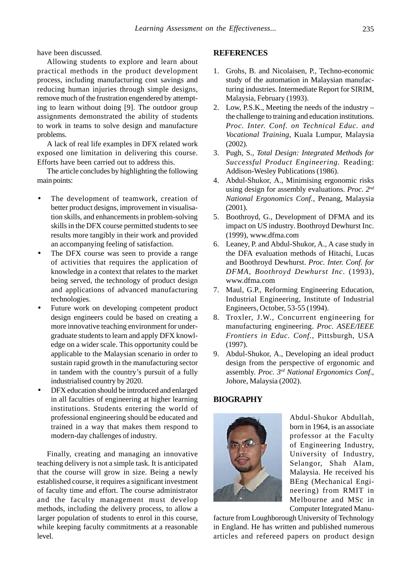have been discussed.

Allowing students to explore and learn about practical methods in the product development process, including manufacturing cost savings and reducing human injuries through simple designs, remove much of the frustration engendered by attempting to learn without doing [9]. The outdoor group assignments demonstrated the ability of students to work in teams to solve design and manufacture problems.

A lack of real life examples in DFX related work exposed one limitation in delivering this course. Efforts have been carried out to address this.

The article concludes by highlighting the following main points:

- The development of teamwork, creation of better product designs, improvement in visualisation skills, and enhancements in problem-solving skills in the DFX course permitted students to see results more tangibly in their work and provided an accompanying feeling of satisfaction.
- The DFX course was seen to provide a range of activities that requires the application of knowledge in a context that relates to the market being served, the technology of product design and applications of advanced manufacturing technologies.
- Future work on developing competent product design engineers could be based on creating a more innovative teaching environment for undergraduate students to learn and apply DFX knowledge on a wider scale. This opportunity could be applicable to the Malaysian scenario in order to sustain rapid growth in the manufacturing sector in tandem with the country's pursuit of a fully industrialised country by 2020.
- DFX education should be introduced and enlarged in all faculties of engineering at higher learning institutions. Students entering the world of professional engineering should be educated and trained in a way that makes them respond to modern-day challenges of industry.

Finally, creating and managing an innovative teaching delivery is not a simple task. It is anticipated that the course will grow in size. Being a newly established course, it requires a significant investment of faculty time and effort. The course administrator and the faculty management must develop methods, including the delivery process, to allow a larger population of students to enrol in this course, while keeping faculty commitments at a reasonable level.

#### **REFERENCES**

- 1. Grohs, B. and Nicolaisen, P., Techno-economic study of the automation in Malaysian manufacturing industries. Intermediate Report for SIRIM, Malaysia, February (1993).
- 2. Low, P.S.K., Meeting the needs of the industry the challenge to training and education institutions. *Proc. Inter. Conf. on Technical Educ. and Vocational Training*, Kuala Lumpur, Malaysia (2002).
- 3. Pugh, S., *Total Design: Integrated Methods for Successful Product Engineering.* Reading: Addison-Wesley Publications (1986).
- 4. Abdul-Shukor, A., Minimising ergonomic risks using design for assembly evaluations. *Proc. 2nd National Ergonomics Conf.*, Penang, Malaysia (2001).
- 5. Boothroyd, G., Development of DFMA and its impact on US industry. Boothroyd Dewhurst Inc. (1999), www.dfma.com
- 6. Leaney, P. and Abdul-Shukor, A., A case study in the DFA evaluation methods of Hitachi, Lucas and Boothroyd Dewhurst. *Proc. Inter. Conf. for DFMA, Boothroyd Dewhurst Inc*. (1993), www.dfma.com
- 7. Maul, G.P., Reforming Engineering Education, Industrial Engineering, Institute of Industrial Engineers, October, 53-55 (1994).
- 8. Troxler, J.W., Concurrent engineering for manufacturing engineering. *Proc. ASEE/IEEE Frontiers in Educ. Conf.*, Pittsburgh, USA (1997).
- 9. Abdul-Shukor, A., Developing an ideal product design from the perspective of ergonomic and assembly. *Proc. 3rd National Ergonomics Conf*., Johore, Malaysia (2002).

# **BIOGRAPHY**



Abdul-Shukor Abdullah, born in 1964, is an associate professor at the Faculty of Engineering Industry, University of Industry, Selangor, Shah Alam, Malaysia. He received his BEng (Mechanical Engineering) from RMIT in Melbourne and MSc in Computer Integrated Manu-

facture from Loughborough University of Technology in England. He has written and published numerous articles and refereed papers on product design